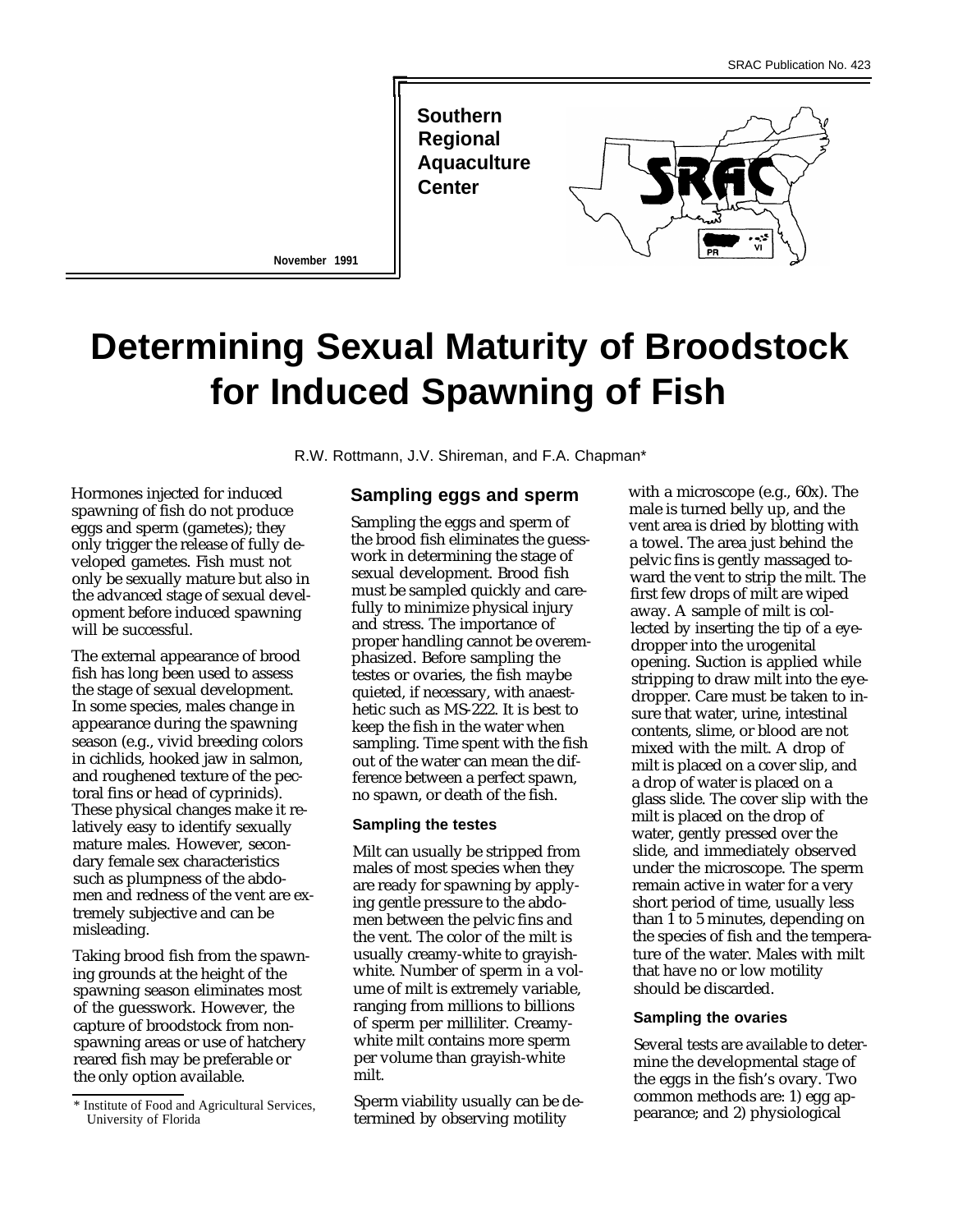**Southern Regional Aquaculture Center**



**November 1991**

# **Determining Sexual Maturity of Broodstock for Induced Spawning of Fish**

R.W. Rottmann, J.V. Shireman, and F.A. Chapman\*

Hormones injected for induced spawning of fish do not produce eggs and sperm (gametes); they only trigger the release of fully developed gametes. Fish must not only be sexually mature but also in the advanced stage of sexual development before induced spawning will be successful.

The external appearance of brood fish has long been used to assess the stage of sexual development. In some species, males change in appearance during the spawning season (e.g., vivid breeding colors in cichlids, hooked jaw in salmon, and roughened texture of the pectoral fins or head of cyprinids). These physical changes make it relatively easy to identify sexually mature males. However, secondary female sex characteristics such as plumpness of the abdomen and redness of the vent are extremely subjective and can be misleading.

Taking brood fish from the spawning grounds at the height of the spawning season eliminates most of the guesswork. However, the capture of broodstock from nonspawning areas or use of hatchery reared fish may be preferable or the only option available.

## **Sampling eggs and sperm**

Sampling the eggs and sperm of the brood fish eliminates the guesswork in determining the stage of sexual development. Brood fish must be sampled quickly and carefully to minimize physical injury and stress. The importance of proper handling cannot be overemphasized. Before sampling the testes or ovaries, the fish maybe quieted, if necessary, with anaesthetic such as MS-222. It is best to keep the fish in the water when sampling. Time spent with the fish out of the water can mean the difference between a perfect spawn, no spawn, or death of the fish.

### **Sampling the testes**

Milt can usually be stripped from males of most species when they are ready for spawning by applying gentle pressure to the abdomen between the pelvic fins and the vent. The color of the milt is usually creamy-white to grayishwhite. Number of sperm in a volume of milt is extremely variable, ranging from millions to billions of sperm per milliliter. Creamywhite milt contains more sperm per volume than grayish-white milt.

Sperm viability usually can be determined by observing motility

with a microscope (e.g., 60x). The male is turned belly up, and the vent area is dried by blotting with a towel. The area just behind the pelvic fins is gently massaged toward the vent to strip the milt. The first few drops of milt are wiped away. A sample of milt is collected by inserting the tip of a eyedropper into the urogenital opening. Suction is applied while stripping to draw milt into the eyedropper. Care must be taken to insure that water, urine, intestinal contents, slime, or blood are not mixed with the milt. A drop of milt is placed on a cover slip, and a drop of water is placed on a glass slide. The cover slip with the milt is placed on the drop of water, gently pressed over the slide, and immediately observed under the microscope. The sperm remain active in water for a very short period of time, usually less than 1 to 5 minutes, depending on the species of fish and the temperature of the water. Males with milt that have no or low motility should be discarded.

#### **Sampling the ovaries**

Several tests are available to determine the developmental stage of the eggs in the fish's ovary. Two common methods are: 1) egg appearance; and 2) physiological

<sup>\*</sup> Institute of Food and Agricultural Services, University of Florida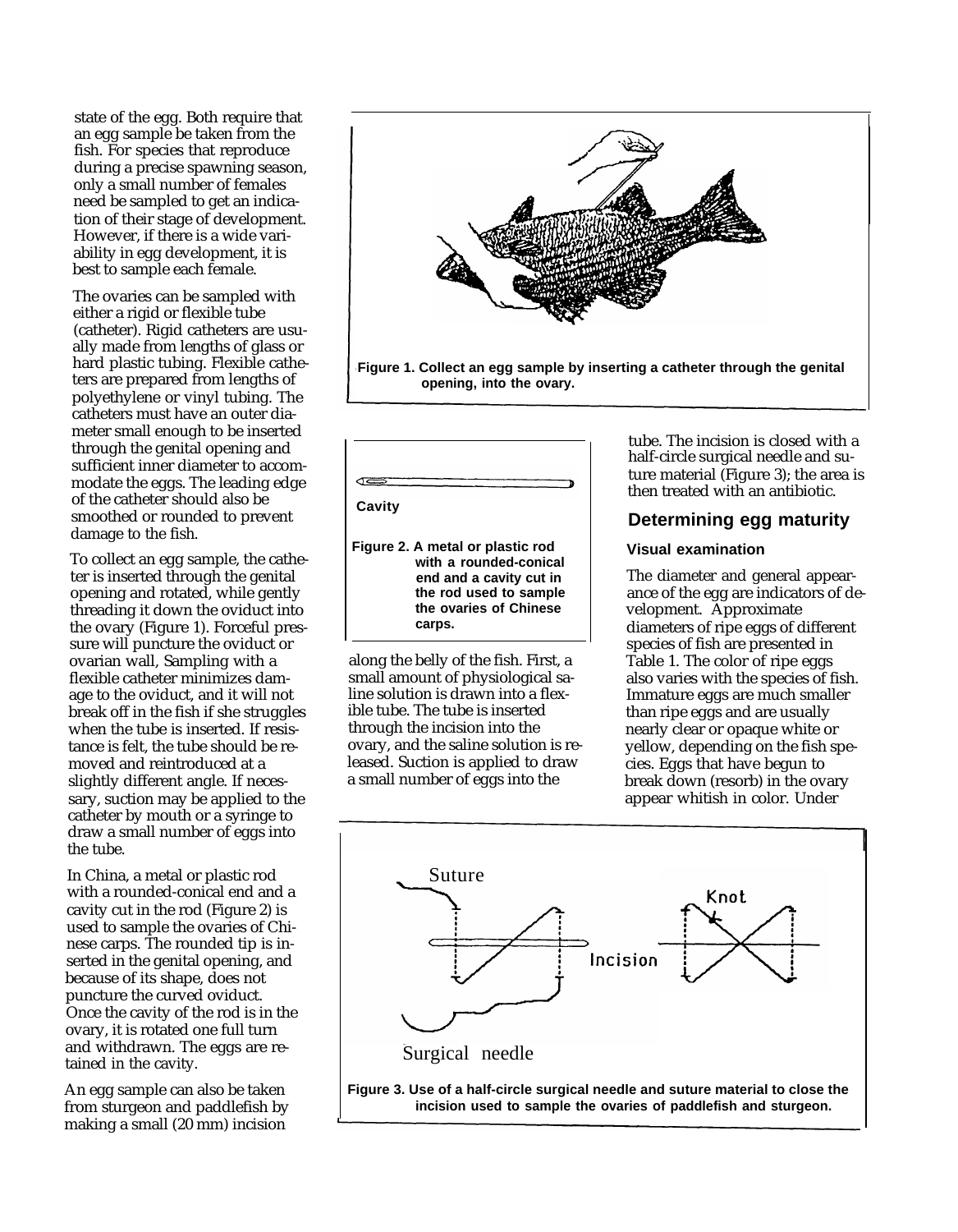state of the egg. Both require that an egg sample be taken from the fish. For species that reproduce during a precise spawning season, only a small number of females need be sampled to get an indication of their stage of development. However, if there is a wide variability in egg development, it is best to sample each female.

The ovaries can be sampled with either a rigid or flexible tube (catheter). Rigid catheters are usually made from lengths of glass or hard plastic tubing. Flexible catheters are prepared from lengths of polyethylene or vinyl tubing. The catheters must have an outer diameter small enough to be inserted through the genital opening and sufficient inner diameter to accommodate the eggs. The leading edge of the catheter should also be smoothed or rounded to prevent damage to the fish.

To collect an egg sample, the catheter is inserted through the genital opening and rotated, while gently threading it down the oviduct into the ovary (Figure 1). Forceful pressure will puncture the oviduct or ovarian wall, Sampling with a flexible catheter minimizes damage to the oviduct, and it will not break off in the fish if she struggles when the tube is inserted. If resistance is felt, the tube should be removed and reintroduced at a slightly different angle. If necessary, suction may be applied to the catheter by mouth or a syringe to draw a small number of eggs into the tube.

In China, a metal or plastic rod with a rounded-conical end and a cavity cut in the rod (Figure 2) is used to sample the ovaries of Chinese carps. The rounded tip is inserted in the genital opening, and because of its shape, does not puncture the curved oviduct. Once the cavity of the rod is in the ovary, it is rotated one full turn and withdrawn. The eggs are retained in the cavity.

An egg sample can also be taken from sturgeon and paddlefish by making a small (20 mm) incision





**end and a cavity cut in the rod used to sample the ovaries of Chinese carps.**

along the belly of the fish. First, a Table 1. The color of ripe eggs<br>small amount of physiological sa-also varies with the species of f ible tube. The tube is inserted through the incision into the ovary, and the saline solution is released. Suction is applied to draw a small number of eggs into the

tube. The incision is closed with a half-circle surgical needle and suture material (Figure 3); the area is then treated with an antibiotic.

# **Determining egg maturity**

## **Visual examination**

The diameter and general appearance of the egg are indicators of development. Approximate diameters of ripe eggs of different species of fish are presented in small amount of physiological sa-<br>line solution is drawn into a flex-<br>Immature eggs are much smaller Immature eggs are much smaller than ripe eggs and are usually nearly clear or opaque white or yellow, depending on the fish species. Eggs that have begun to break down (resorb) in the ovary appear whitish in color. Under

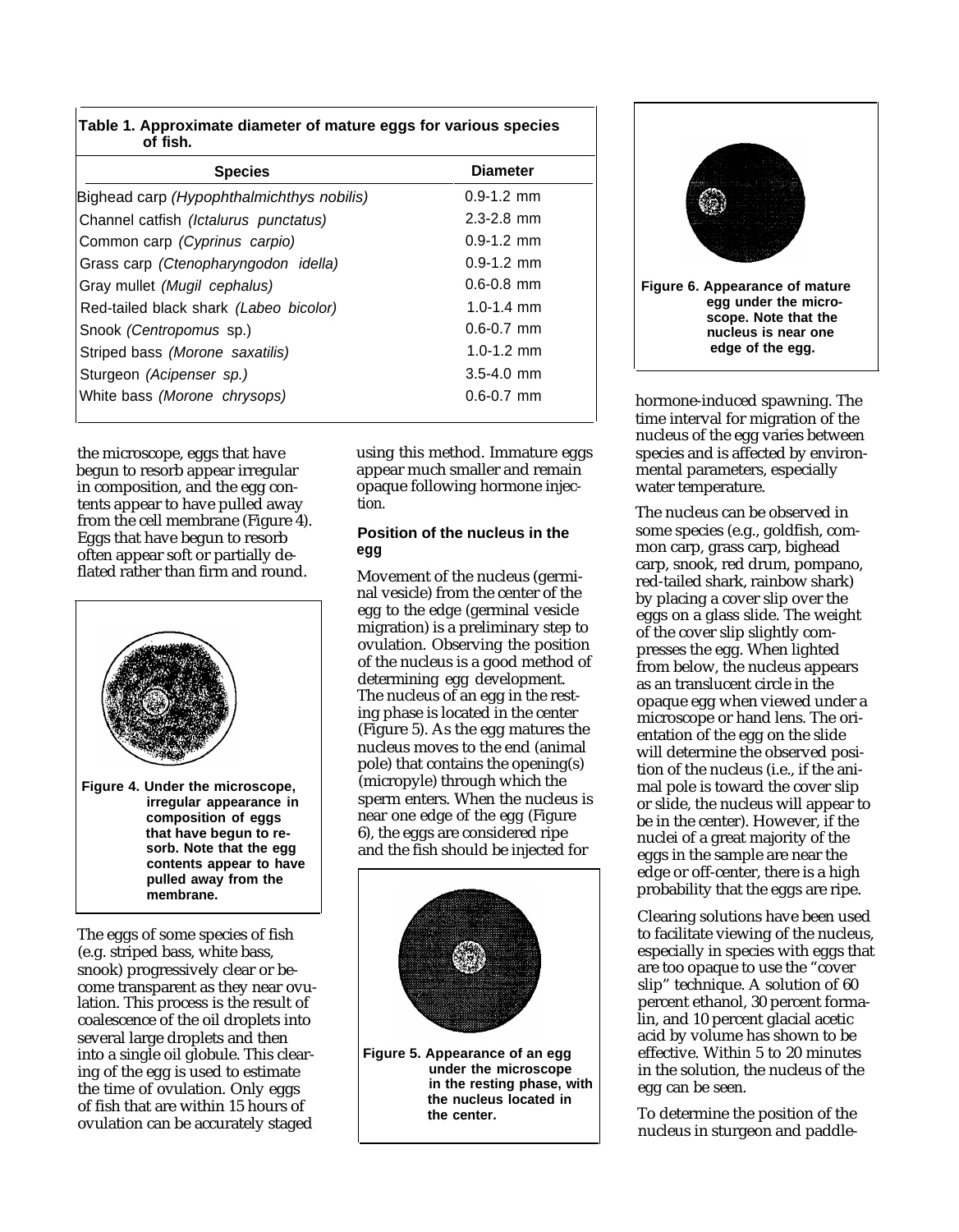| <b>Species</b>                            | <b>Diameter</b> |
|-------------------------------------------|-----------------|
| Bighead carp (Hypophthalmichthys nobilis) | $0.9 - 1.2$ mm  |
| Channel catfish (Ictalurus punctatus)     | $2.3 - 2.8$ mm  |
| Common carp (Cyprinus carpio)             | $0.9 - 1.2$ mm  |
| Grass carp (Ctenopharyngodon idella)      | $0.9 - 1.2$ mm  |
| Gray mullet (Mugil cephalus)              | $0.6 - 0.8$ mm  |
| Red-tailed black shark (Labeo bicolor)    | 1.0-1.4 mm      |
| Snook <i>(Centropomus sp.)</i>            | $0.6 - 0.7$ mm  |
| Striped bass (Morone saxatilis)           | $1.0 - 1.2$ mm  |
| Sturgeon (Acipenser sp.)                  | $3.5 - 4.0$ mm  |
| White bass (Morone chrysops)              | $0.6 - 0.7$ mm  |

the microscope, eggs that have begun to resorb appear irregular in composition, and the egg contents appear to have pulled away from the cell membrane (Figure 4). Eggs that have begun to resorb often appear soft or partially deflated rather than firm and round.



The eggs of some species of fish (e.g. striped bass, white bass, snook) progressively clear or become transparent as they near ovulation. This process is the result of coalescence of the oil droplets into several large droplets and then into a single oil globule. This clearing of the egg is used to estimate the time of ovulation. Only eggs of fish that are within 15 hours of ovulation can be accurately staged

using this method. Immature eggs appear much smaller and remain opaque following hormone injection.

## **Position of the nucleus in the egg**

Movement of the nucleus (germinal vesicle) from the center of the egg to the edge (germinal vesicle migration) is a preliminary step to ovulation. Observing the position of the nucleus is a good method of determining egg development. The nucleus of an egg in the resting phase is located in the center (Figure 5). As the egg matures the nucleus moves to the end (animal pole) that contains the opening(s) (micropyle) through which the sperm enters. When the nucleus is near one edge of the egg (Figure 6), the eggs are considered ripe and the fish should be injected for







hormone-induced spawning. The time interval for migration of the nucleus of the egg varies between species and is affected by environmental parameters, especially water temperature.

The nucleus can be observed in some species (e.g., goldfish, common carp, grass carp, bighead carp, snook, red drum, pompano, red-tailed shark, rainbow shark) by placing a cover slip over the eggs on a glass slide. The weight of the cover slip slightly compresses the egg. When lighted from below, the nucleus appears as an translucent circle in the opaque egg when viewed under a microscope or hand lens. The orientation of the egg on the slide will determine the observed position of the nucleus (i.e., if the animal pole is toward the cover slip or slide, the nucleus will appear to be in the center). However, if the nuclei of a great majority of the eggs in the sample are near the edge or off-center, there is a high probability that the eggs are ripe.

Clearing solutions have been used to facilitate viewing of the nucleus, especially in species with eggs that are too opaque to use the "cover slip" technique. A solution of 60 percent ethanol, 30 percent formalin, and 10 percent glacial acetic acid by volume has shown to be effective. Within 5 to 20 minutes in the solution, the nucleus of the egg can be seen.

To determine the position of the nucleus in sturgeon and paddle-